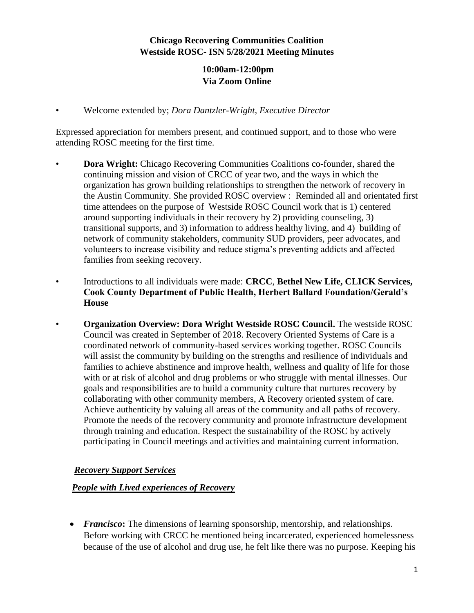## **Chicago Recovering Communities Coalition Westside ROSC- ISN 5/28/2021 Meeting Minutes**

## **10:00am-12:00pm Via Zoom Online**

• Welcome extended by; *Dora Dantzler-Wright, Executive Director*

Expressed appreciation for members present, and continued support, and to those who were attending ROSC meeting for the first time.

- **Dora Wright:** Chicago Recovering Communities Coalitions co-founder, shared the continuing mission and vision of CRCC of year two, and the ways in which the organization has grown building relationships to strengthen the network of recovery in the Austin Community. She provided ROSC overview : Reminded all and orientated first time attendees on the purpose of Westside ROSC Council work that is 1) centered around supporting individuals in their recovery by 2) providing counseling, 3) transitional supports, and 3) information to address healthy living, and 4) building of network of community stakeholders, community SUD providers, peer advocates, and volunteers to increase visibility and reduce stigma's preventing addicts and affected families from seeking recovery.
- Introductions to all individuals were made: **CRCC**, **Bethel New Life, CLICK Services, Cook County Department of Public Health, Herbert Ballard Foundation/Gerald's House**
- **Organization Overview: Dora Wright Westside ROSC Council.** The westside ROSC Council was created in September of 2018. Recovery Oriented Systems of Care is a coordinated network of community-based services working together. ROSC Councils will assist the community by building on the strengths and resilience of individuals and families to achieve abstinence and improve health, wellness and quality of life for those with or at risk of alcohol and drug problems or who struggle with mental illnesses. Our goals and responsibilities are to build a community culture that nurtures recovery by collaborating with other community members, A Recovery oriented system of care. Achieve authenticity by valuing all areas of the community and all paths of recovery. Promote the needs of the recovery community and promote infrastructure development through training and education. Respect the sustainability of the ROSC by actively participating in Council meetings and activities and maintaining current information.

## *Recovery Support Services*

## *People with Lived experiences of Recovery*

• *Francisco*: The dimensions of learning sponsorship, mentorship, and relationships. Before working with CRCC he mentioned being incarcerated, experienced homelessness because of the use of alcohol and drug use, he felt like there was no purpose. Keeping his